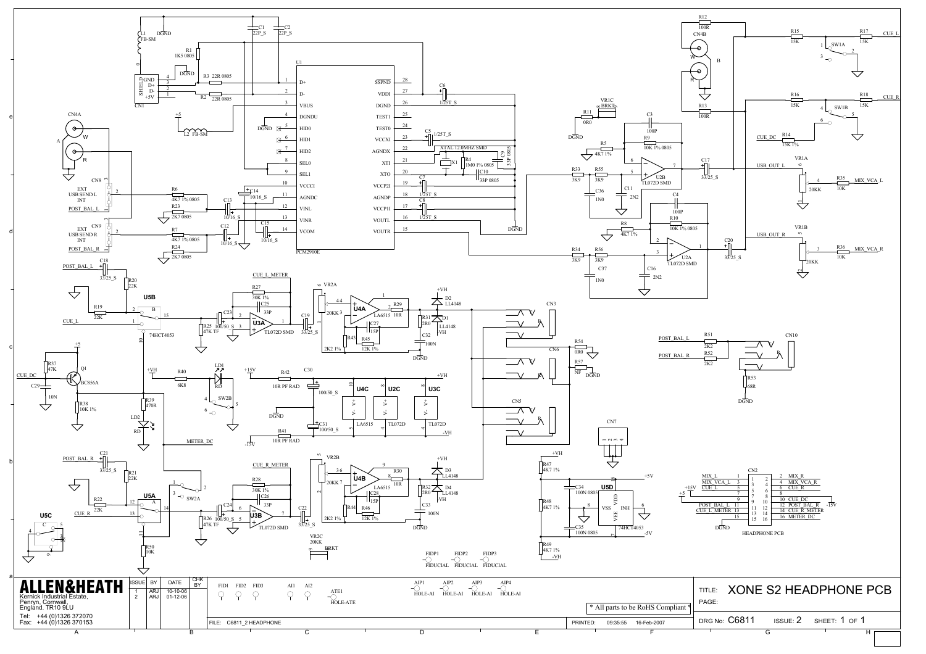